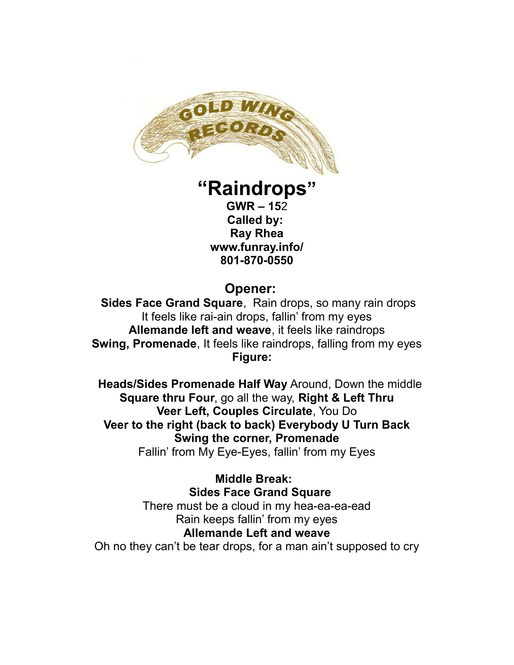

## **"Raindrops"**

**GWR – 15**2 **Called by: Ray Rhea www.funray.info/ 801-870-0550**

## **Opener:**

**Sides Face Grand Square**, Rain drops, so many rain drops It feels like rai-ain drops, fallin' from my eyes **Allemande left and weave**, it feels like raindrops **Swing, Promenade**, It feels like raindrops, falling from my eyes **Figure:** 

 **Heads/Sides Promenade Half Way** Around, Down the middle **Square thru Four**, go all the way, **Right & Left Thru Veer Left, Couples Circulate**, You Do **Veer to the right (back to back) Everybody U Turn Back Swing the corner, Promenade** Fallin' from My Eye-Eyes, fallin' from my Eyes

**Middle Break: Sides Face Grand Square** There must be a cloud in my hea-ea-ea-ead Rain keeps fallin' from my eyes **Allemande Left and weave** Oh no they can't be tear drops, for a man ain't supposed to cry